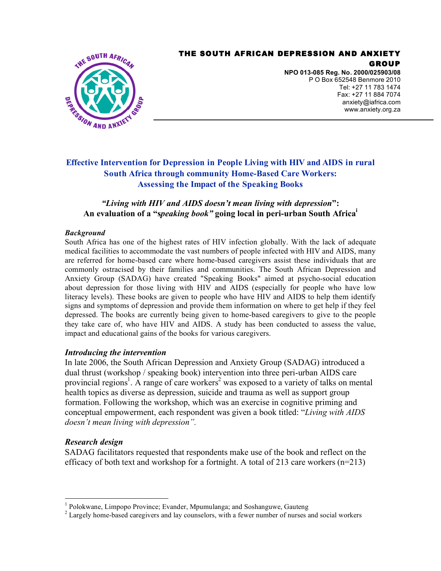### THE SOUTH AFRICAN DEPRESSION AND ANXIETY GROUP



**NPO 013-085 Reg. No. 2000/025903/08** P O Box 652548 Benmore 2010 Tel: +27 11 783 1474 Fax: +27 11 884 7074 anxiety@iafrica.com www.anxiety.org.za

# **Effective Intervention for Depression in People Living with HIV and AIDS in rural South Africa through community Home-Based Care Workers: Assessing the Impact of the Speaking Books**

# *"Living with HIV and AIDS doesn't mean living with depression***": An evaluation of a "s***peaking book"* **going local in peri-urban South Africai**

### *Background*

South Africa has one of the highest rates of HIV infection globally. With the lack of adequate medical facilities to accommodate the vast numbers of people infected with HIV and AIDS, many are referred for home-based care where home-based caregivers assist these individuals that are commonly ostracised by their families and communities. The South African Depression and Anxiety Group (SADAG) have created "Speaking Books" aimed at psycho-social education about depression for those living with HIV and AIDS (especially for people who have low literacy levels). These books are given to people who have HIV and AIDS to help them identify signs and symptoms of depression and provide them information on where to get help if they feel depressed. The books are currently being given to home-based caregivers to give to the people they take care of, who have HIV and AIDS. A study has been conducted to assess the value, impact and educational gains of the books for various caregivers.

# *Introducing the intervention*

In late 2006, the South African Depression and Anxiety Group (SADAG) introduced a dual thrust (workshop / speaking book) intervention into three peri-urban AIDS care provincial regions<sup>1</sup>. A range of care workers<sup>2</sup> was exposed to a variety of talks on mental health topics as diverse as depression, suicide and trauma as well as support group formation. Following the workshop, which was an exercise in cognitive priming and conceptual empowerment, each respondent was given a book titled: "*Living with AIDS doesn't mean living with depression".*

# *Research design*

SADAG facilitators requested that respondents make use of the book and reflect on the efficacy of both text and workshop for a fortnight. A total of 213 care workers  $(n=213)$ 

<sup>&</sup>lt;sup>1</sup> Polokwane, Limpopo Province; Evander, Mpumulanga; and Soshanguwe, Gauteng  $2^2$  Largely home-based caregivers and lay counselors, with a fewer number of nurses and social workers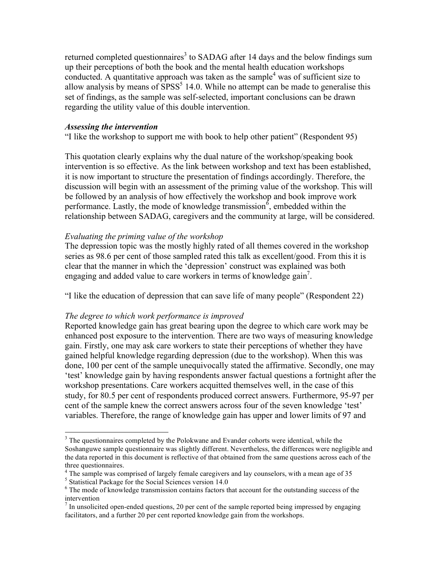returned completed questionnaires<sup>3</sup> to SADAG after 14 days and the below findings sum up their perceptions of both the book and the mental health education workshops conducted. A quantitative approach was taken as the sample<sup>4</sup> was of sufficient size to allow analysis by means of  $SPSS<sup>5</sup> 14.0$ . While no attempt can be made to generalise this set of findings, as the sample was self-selected, important conclusions can be drawn regarding the utility value of this double intervention.

### *Assessing the intervention*

"I like the workshop to support me with book to help other patient" (Respondent 95)

This quotation clearly explains why the dual nature of the workshop/speaking book intervention is so effective. As the link between workshop and text has been established, it is now important to structure the presentation of findings accordingly. Therefore, the discussion will begin with an assessment of the priming value of the workshop. This will be followed by an analysis of how effectively the workshop and book improve work performance. Lastly, the mode of knowledge transmission<sup>6</sup>, embedded within the relationship between SADAG, caregivers and the community at large, will be considered.

# *Evaluating the priming value of the workshop*

The depression topic was the mostly highly rated of all themes covered in the workshop series as 98.6 per cent of those sampled rated this talk as excellent/good. From this it is clear that the manner in which the 'depression' construct was explained was both engaging and added value to care workers in terms of knowledge gain<sup>7</sup>.

"I like the education of depression that can save life of many people" (Respondent 22)

### *The degree to which work performance is improved*

Reported knowledge gain has great bearing upon the degree to which care work may be enhanced post exposure to the intervention. There are two ways of measuring knowledge gain. Firstly, one may ask care workers to state their perceptions of whether they have gained helpful knowledge regarding depression (due to the workshop). When this was done, 100 per cent of the sample unequivocally stated the affirmative. Secondly, one may 'test' knowledge gain by having respondents answer factual questions a fortnight after the workshop presentations. Care workers acquitted themselves well, in the case of this study, for 80.5 per cent of respondents produced correct answers. Furthermore, 95-97 per cent of the sample knew the correct answers across four of the seven knowledge 'test' variables. Therefore, the range of knowledge gain has upper and lower limits of 97 and

 $3$  The questionnaires completed by the Polokwane and Evander cohorts were identical, while the Soshanguwe sample questionnaire was slightly different. Nevertheless, the differences were negligible and the data reported in this document is reflective of that obtained from the same questions across each of the three questionnaires.<br><sup>4</sup> The sample was comprised of largely female caregivers and lay counselors, with a mean age of 35<br><sup>5</sup> Statistical Package for the Social Sciences version 14.0<br><sup>6</sup> The mode of knowledge transmission

intervention<br> $\frac{7}{1}$  In unsolicited open-ended questions, 20 per cent of the sample reported being impressed by engaging

facilitators, and a further 20 per cent reported knowledge gain from the workshops.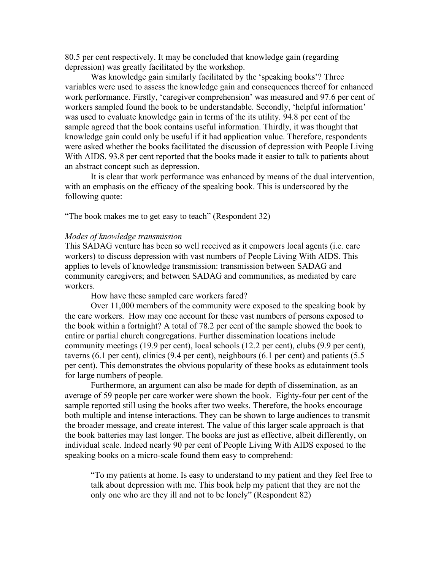80.5 per cent respectively. It may be concluded that knowledge gain (regarding depression) was greatly facilitated by the workshop.

Was knowledge gain similarly facilitated by the 'speaking books'? Three variables were used to assess the knowledge gain and consequences thereof for enhanced work performance. Firstly, 'caregiver comprehension' was measured and 97.6 per cent of workers sampled found the book to be understandable. Secondly, 'helpful information' was used to evaluate knowledge gain in terms of the its utility. 94.8 per cent of the sample agreed that the book contains useful information. Thirdly, it was thought that knowledge gain could only be useful if it had application value. Therefore, respondents were asked whether the books facilitated the discussion of depression with People Living With AIDS. 93.8 per cent reported that the books made it easier to talk to patients about an abstract concept such as depression.

It is clear that work performance was enhanced by means of the dual intervention, with an emphasis on the efficacy of the speaking book. This is underscored by the following quote:

"The book makes me to get easy to teach" (Respondent 32)

#### *Modes of knowledge transmission*

This SADAG venture has been so well received as it empowers local agents (i.e. care workers) to discuss depression with vast numbers of People Living With AIDS. This applies to levels of knowledge transmission: transmission between SADAG and community caregivers; and between SADAG and communities, as mediated by care workers.

How have these sampled care workers fared?

Over 11,000 members of the community were exposed to the speaking book by the care workers. How may one account for these vast numbers of persons exposed to the book within a fortnight? A total of 78.2 per cent of the sample showed the book to entire or partial church congregations. Further dissemination locations include community meetings (19.9 per cent), local schools (12.2 per cent), clubs (9.9 per cent), taverns (6.1 per cent), clinics (9.4 per cent), neighbours (6.1 per cent) and patients (5.5 per cent). This demonstrates the obvious popularity of these books as edutainment tools for large numbers of people.

Furthermore, an argument can also be made for depth of dissemination, as an average of 59 people per care worker were shown the book. Eighty-four per cent of the sample reported still using the books after two weeks. Therefore, the books encourage both multiple and intense interactions. They can be shown to large audiences to transmit the broader message, and create interest. The value of this larger scale approach is that the book batteries may last longer. The books are just as effective, albeit differently, on individual scale. Indeed nearly 90 per cent of People Living With AIDS exposed to the speaking books on a micro-scale found them easy to comprehend:

"To my patients at home. Is easy to understand to my patient and they feel free to talk about depression with me. This book help my patient that they are not the only one who are they ill and not to be lonely" (Respondent 82)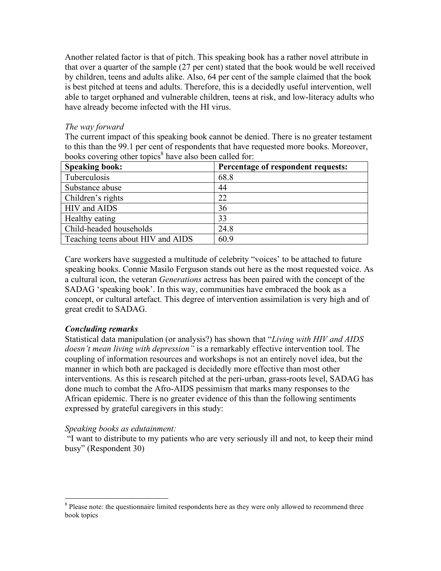Another related factor is that of pitch. This speaking book has a rather novel attribute in that over a quarter of the sample (27 per cent) stated that the book would be well received by children, teens and adults alike. Also, 64 per cent of the sample claimed that the book is best pitched at teens and adults. Therefore, this is a decidedly useful intervention, well able to target orphaned and vulnerable children, teens at risk, and low-literacy adults who have already become infected with the HI virus.

### *The way forward*

The current impact of this speaking book cannot be denied. There is no greater testament to this than the 99.1 per cent of respondents that have requested more books. Moreover, books covering other topics<sup>8</sup> have also been called for:

| <b>Speaking book:</b>             | Percentage of respondent requests: |
|-----------------------------------|------------------------------------|
| Tuberculosis                      | 68.8                               |
| Substance abuse                   | 44                                 |
| Children's rights                 | 22                                 |
| <b>HIV</b> and AIDS               | 36                                 |
| Healthy eating                    | 33                                 |
| Child-headed households           | 24.8                               |
| Teaching teens about HIV and AIDS | 60.9                               |

Care workers have suggested a multitude of celebrity "voices' to be attached to future speaking books. Connie Masilo Ferguson stands out here as the most requested voice. As a cultural icon, the veteran *Generations* actress has been paired with the concept of the SADAG 'speaking book'. In this way, communities have embraced the book as a concept, or cultural artefact. This degree of intervention assimilation is very high and of great credit to SADAG.

# *Concluding remarks*

Statistical data manipulation (or analysis?) has shown that "*Living with HIV and AIDS doesn't mean living with depression"* is a remarkably effective intervention tool. The coupling of information resources and workshops is not an entirely novel idea, but the manner in which both are packaged is decidedly more effective than most other interventions. As this is research pitched at the peri-urban, grass-roots level, SADAG has done much to combat the Afro-AIDS pessimism that marks many responses to the African epidemic. There is no greater evidence of this than the following sentiments expressed by grateful caregivers in this study:

# *Speaking books as edutainment:*

"I want to distribute to my patients who are very seriously ill and not, to keep their mind busy" (Respondent 30)

<sup>&</sup>lt;sup>8</sup> Please note: the questionnaire limited respondents here as they were only allowed to recommend three book topics